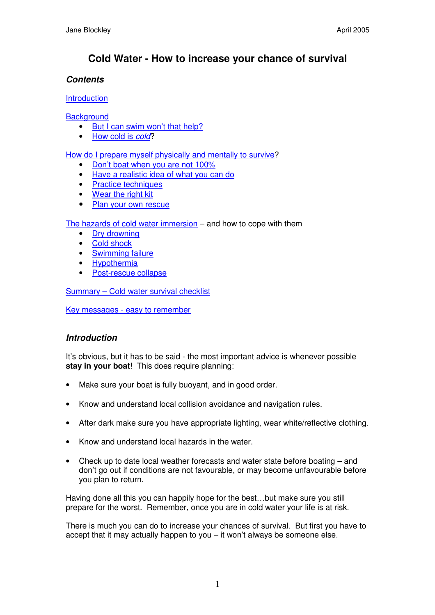# **Cold Water - How to increase your chance of survival**

# *Contents*

**Introduction** 

**Background** 

- But I can swim won't that help?
- How cold is *cold*?

How do I prepare myself physically and mentally to survive?

- Don't boat when you are not 100%
- Have a realistic idea of what you can do
- Practice techniques
- Wear the right kit
- Plan your own rescue

The hazards of cold water immersion – and how to cope with them

- Dry drowning
- Cold shock
- Swimming failure
- Hypothermia
- Post-rescue collapse

Summary – Cold water survival checklist

Key messages - easy to remember

# *Introduction*

It's obvious, but it has to be said - the most important advice is whenever possible **stay in your boat**! This does require planning:

- Make sure your boat is fully buoyant, and in good order.
- Know and understand local collision avoidance and navigation rules.
- After dark make sure you have appropriate lighting, wear white/reflective clothing.
- Know and understand local hazards in the water.
- Check up to date local weather forecasts and water state before boating and don't go out if conditions are not favourable, or may become unfavourable before you plan to return.

Having done all this you can happily hope for the best…but make sure you still prepare for the worst. Remember, once you are in cold water your life is at risk.

There is much you can do to increase your chances of survival. But first you have to accept that it may actually happen to you – it won't always be someone else.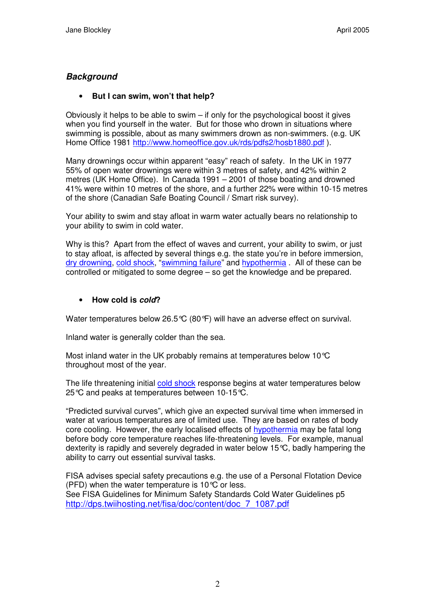# *Background*

## • **But I can swim, won't that help?**

Obviously it helps to be able to swim – if only for the psychological boost it gives when you find yourself in the water. But for those who drown in situations where swimming is possible, about as many swimmers drown as non-swimmers. (e.g. UK Home Office 1981 http://www.homeoffice.gov.uk/rds/pdfs2/hosb1880.pdf ).

Many drownings occur within apparent "easy" reach of safety. In the UK in 1977 55% of open water drownings were within 3 metres of safety, and 42% within 2 metres (UK Home Office). In Canada 1991 – 2001 of those boating and drowned 41% were within 10 metres of the shore, and a further 22% were within 10-15 metres of the shore (Canadian Safe Boating Council / Smart risk survey).

Your ability to swim and stay afloat in warm water actually bears no relationship to your ability to swim in cold water.

Why is this? Apart from the effect of waves and current, your ability to swim, or just to stay afloat, is affected by several things e.g. the state you're in before immersion, dry drowning, cold shock, "swimming failure" and hypothermia. All of these can be controlled or mitigated to some degree – so get the knowledge and be prepared.

### • **How cold is** *cold***?**

Water temperatures below 26.5°C (80°F) will have an adverse effect on survival.

Inland water is generally colder than the sea.

Most inland water in the UK probably remains at temperatures below 10°C throughout most of the year.

The life threatening initial cold shock response begins at water temperatures below 25°C and peaks at temperatures between 10-15°C.

"Predicted survival curves", which give an expected survival time when immersed in water at various temperatures are of limited use. They are based on rates of body core cooling. However, the early localised effects of hypothermia may be fatal long before body core temperature reaches life-threatening levels. For example, manual dexterity is rapidly and severely degraded in water below 15°C, badly hampering the ability to carry out essential survival tasks.

FISA advises special safety precautions e.g. the use of a Personal Flotation Device (PFD) when the water temperature is 10°C or less. See FISA Guidelines for Minimum Safety Standards Cold Water Guidelines p5 http://dps.twiihosting.net/fisa/doc/content/doc\_7\_1087.pdf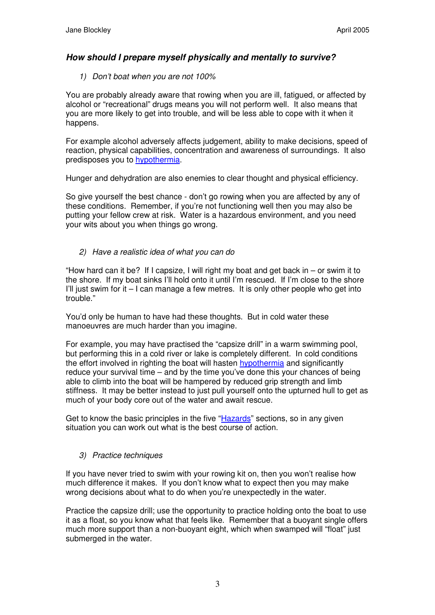# *How should I prepare myself physically and mentally to survive?*

*1) Don't boat when you are not 100%*

You are probably already aware that rowing when you are ill, fatigued, or affected by alcohol or "recreational" drugs means you will not perform well. It also means that you are more likely to get into trouble, and will be less able to cope with it when it happens.

For example alcohol adversely affects judgement, ability to make decisions, speed of reaction, physical capabilities, concentration and awareness of surroundings. It also predisposes you to hypothermia.

Hunger and dehydration are also enemies to clear thought and physical efficiency.

So give yourself the best chance - don't go rowing when you are affected by any of these conditions. Remember, if you're not functioning well then you may also be putting your fellow crew at risk. Water is a hazardous environment, and you need your wits about you when things go wrong.

*2) Have a realistic idea of what you can do*

"How hard can it be? If I capsize, I will right my boat and get back in  $-$  or swim it to the shore. If my boat sinks I'll hold onto it until I'm rescued. If I'm close to the shore I'll just swim for it  $-1$  can manage a few metres. It is only other people who get into trouble."

You'd only be human to have had these thoughts. But in cold water these manoeuvres are much harder than you imagine.

For example, you may have practised the "capsize drill" in a warm swimming pool, but performing this in a cold river or lake is completely different. In cold conditions the effort involved in righting the boat will hasten hypothermia and significantly reduce your survival time – and by the time you've done this your chances of being able to climb into the boat will be hampered by reduced grip strength and limb stiffness. It may be better instead to just pull yourself onto the upturned hull to get as much of your body core out of the water and await rescue.

Get to know the basic principles in the five "Hazards" sections, so in any given situation you can work out what is the best course of action.

# *3) Practice techniques*

If you have never tried to swim with your rowing kit on, then you won't realise how much difference it makes. If you don't know what to expect then you may make wrong decisions about what to do when you're unexpectedly in the water.

Practice the capsize drill; use the opportunity to practice holding onto the boat to use it as a float, so you know what that feels like. Remember that a buoyant single offers much more support than a non-buoyant eight, which when swamped will "float" just submerged in the water.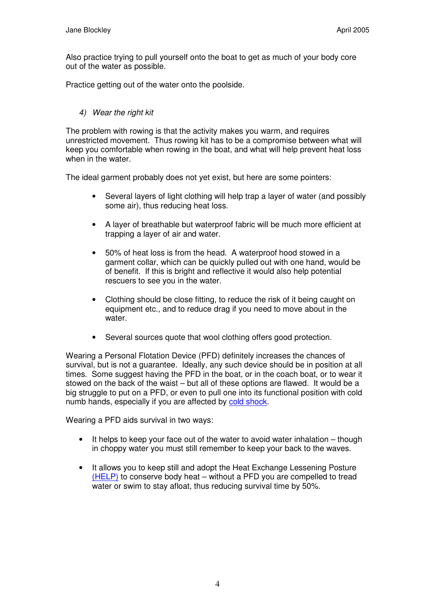Also practice trying to pull yourself onto the boat to get as much of your body core out of the water as possible.

Practice getting out of the water onto the poolside.

## *4) Wear the right kit*

The problem with rowing is that the activity makes you warm, and requires unrestricted movement. Thus rowing kit has to be a compromise between what will keep you comfortable when rowing in the boat, and what will help prevent heat loss when in the water.

The ideal garment probably does not yet exist, but here are some pointers:

- Several layers of light clothing will help trap a layer of water (and possibly some air), thus reducing heat loss.
- A layer of breathable but waterproof fabric will be much more efficient at trapping a layer of air and water.
- 50% of heat loss is from the head. A waterproof hood stowed in a garment collar, which can be quickly pulled out with one hand, would be of benefit. If this is bright and reflective it would also help potential rescuers to see you in the water.
- Clothing should be close fitting, to reduce the risk of it being caught on equipment etc., and to reduce drag if you need to move about in the water.
- Several sources quote that wool clothing offers good protection.

Wearing a Personal Flotation Device (PFD) definitely increases the chances of survival, but is not a guarantee. Ideally, any such device should be in position at all times. Some suggest having the PFD in the boat, or in the coach boat, or to wear it stowed on the back of the waist – but all of these options are flawed. It would be a big struggle to put on a PFD, or even to pull one into its functional position with cold numb hands, especially if you are affected by cold shock.

Wearing a PFD aids survival in two ways:

- It helps to keep your face out of the water to avoid water inhalation  $-$  though in choppy water you must still remember to keep your back to the waves.
- It allows you to keep still and adopt the Heat Exchange Lessening Posture (HELP) to conserve body heat – without a PFD you are compelled to tread water or swim to stay afloat, thus reducing survival time by 50%.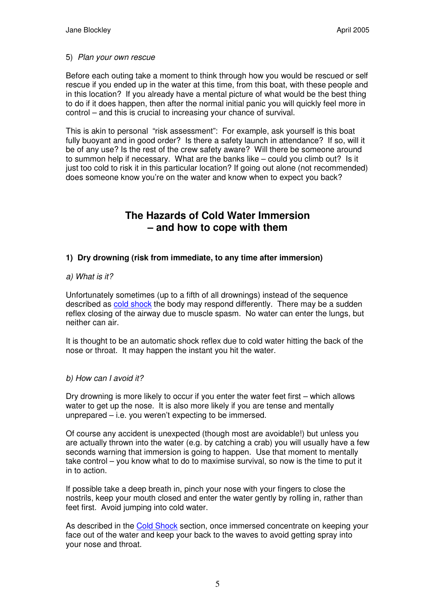#### 5) *Plan your own rescue*

Before each outing take a moment to think through how you would be rescued or self rescue if you ended up in the water at this time, from this boat, with these people and in this location? If you already have a mental picture of what would be the best thing to do if it does happen, then after the normal initial panic you will quickly feel more in control – and this is crucial to increasing your chance of survival.

This is akin to personal "risk assessment": For example, ask yourself is this boat fully buoyant and in good order? Is there a safety launch in attendance? If so, will it be of any use? Is the rest of the crew safety aware? Will there be someone around to summon help if necessary. What are the banks like – could you climb out? Is it just too cold to risk it in this particular location? If going out alone (not recommended) does someone know you're on the water and know when to expect you back?

# **The Hazards of Cold Water Immersion – and how to cope with them**

## **1) Dry drowning (risk from immediate, to any time after immersion)**

#### *a) What is it?*

Unfortunately sometimes (up to a fifth of all drownings) instead of the sequence described as cold shock the body may respond differently. There may be a sudden reflex closing of the airway due to muscle spasm. No water can enter the lungs, but neither can air.

It is thought to be an automatic shock reflex due to cold water hitting the back of the nose or throat. It may happen the instant you hit the water.

### *b) How can I avoid it?*

Dry drowning is more likely to occur if you enter the water feet first – which allows water to get up the nose. It is also more likely if you are tense and mentally unprepared – i.e. you weren't expecting to be immersed.

Of course any accident is unexpected (though most are avoidable!) but unless you are actually thrown into the water (e.g. by catching a crab) you will usually have a few seconds warning that immersion is going to happen. Use that moment to mentally take control – you know what to do to maximise survival, so now is the time to put it in to action.

If possible take a deep breath in, pinch your nose with your fingers to close the nostrils, keep your mouth closed and enter the water gently by rolling in, rather than feet first. Avoid jumping into cold water.

As described in the Cold Shock section, once immersed concentrate on keeping your face out of the water and keep your back to the waves to avoid getting spray into your nose and throat.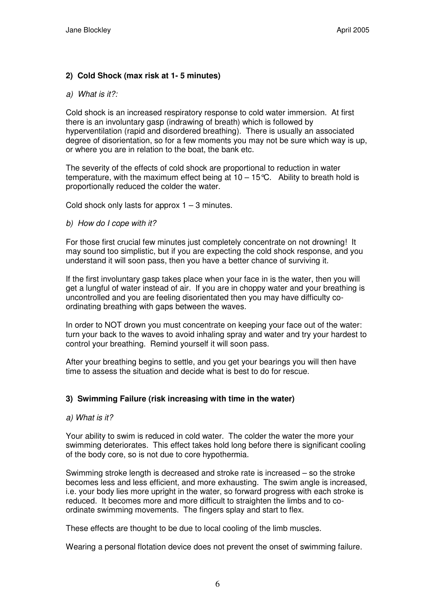## **2) Cold Shock (max risk at 1- 5 minutes)**

#### *a) What is it?:*

Cold shock is an increased respiratory response to cold water immersion. At first there is an involuntary gasp (indrawing of breath) which is followed by hyperventilation (rapid and disordered breathing). There is usually an associated degree of disorientation, so for a few moments you may not be sure which way is up, or where you are in relation to the boat, the bank etc.

The severity of the effects of cold shock are proportional to reduction in water temperature, with the maximum effect being at  $10 - 15^{\circ}C$ . Ability to breath hold is proportionally reduced the colder the water.

Cold shock only lasts for approx  $1 - 3$  minutes.

#### *b) How do I cope with it?*

For those first crucial few minutes just completely concentrate on not drowning! It may sound too simplistic, but if you are expecting the cold shock response, and you understand it will soon pass, then you have a better chance of surviving it.

If the first involuntary gasp takes place when your face in is the water, then you will get a lungful of water instead of air. If you are in choppy water and your breathing is uncontrolled and you are feeling disorientated then you may have difficulty coordinating breathing with gaps between the waves.

In order to NOT drown you must concentrate on keeping your face out of the water: turn your back to the waves to avoid inhaling spray and water and try your hardest to control your breathing. Remind yourself it will soon pass.

After your breathing begins to settle, and you get your bearings you will then have time to assess the situation and decide what is best to do for rescue.

### **3) Swimming Failure (risk increasing with time in the water)**

#### *a) What is it?*

Your ability to swim is reduced in cold water. The colder the water the more your swimming deteriorates. This effect takes hold long before there is significant cooling of the body core, so is not due to core hypothermia.

Swimming stroke length is decreased and stroke rate is increased – so the stroke becomes less and less efficient, and more exhausting. The swim angle is increased, i.e. your body lies more upright in the water, so forward progress with each stroke is reduced. It becomes more and more difficult to straighten the limbs and to coordinate swimming movements. The fingers splay and start to flex.

These effects are thought to be due to local cooling of the limb muscles.

Wearing a personal flotation device does not prevent the onset of swimming failure.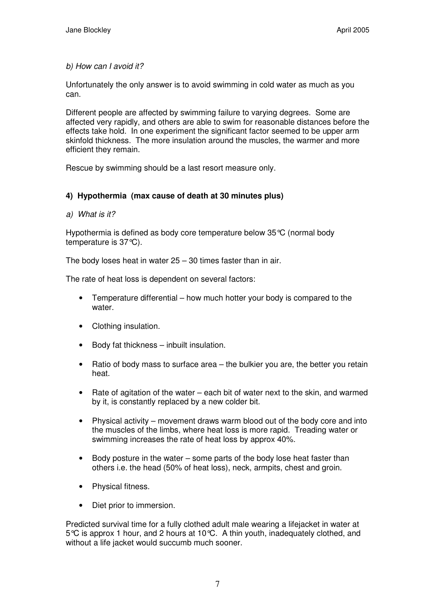*b) How can I avoid it?*

Unfortunately the only answer is to avoid swimming in cold water as much as you can.

Different people are affected by swimming failure to varying degrees. Some are affected very rapidly, and others are able to swim for reasonable distances before the effects take hold. In one experiment the significant factor seemed to be upper arm skinfold thickness. The more insulation around the muscles, the warmer and more efficient they remain.

Rescue by swimming should be a last resort measure only.

# **4) Hypothermia (max cause of death at 30 minutes plus)**

*a) What is it?*

Hypothermia is defined as body core temperature below 35°C (normal body temperature is 37°C).

The body loses heat in water 25 – 30 times faster than in air.

The rate of heat loss is dependent on several factors:

- Temperature differential how much hotter your body is compared to the water.
- Clothing insulation.
- Body fat thickness inbuilt insulation.
- Ratio of body mass to surface area the bulkier you are, the better you retain heat.
- Rate of agitation of the water each bit of water next to the skin, and warmed by it, is constantly replaced by a new colder bit.
- Physical activity movement draws warm blood out of the body core and into the muscles of the limbs, where heat loss is more rapid. Treading water or swimming increases the rate of heat loss by approx 40%.
- Body posture in the water some parts of the body lose heat faster than others i.e. the head (50% of heat loss), neck, armpits, chest and groin.
- Physical fitness.
- Diet prior to immersion.

Predicted survival time for a fully clothed adult male wearing a lifejacket in water at 5°C is approx 1 hour, and 2 hours at 10°C. A thin youth, inadequately clothed, and without a life jacket would succumb much sooner.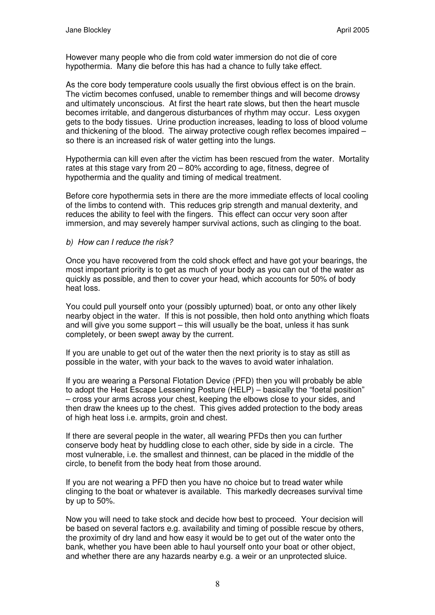However many people who die from cold water immersion do not die of core hypothermia. Many die before this has had a chance to fully take effect.

As the core body temperature cools usually the first obvious effect is on the brain. The victim becomes confused, unable to remember things and will become drowsy and ultimately unconscious. At first the heart rate slows, but then the heart muscle becomes irritable, and dangerous disturbances of rhythm may occur. Less oxygen gets to the body tissues. Urine production increases, leading to loss of blood volume and thickening of the blood. The airway protective cough reflex becomes impaired – so there is an increased risk of water getting into the lungs.

Hypothermia can kill even after the victim has been rescued from the water. Mortality rates at this stage vary from 20 – 80% according to age, fitness, degree of hypothermia and the quality and timing of medical treatment.

Before core hypothermia sets in there are the more immediate effects of local cooling of the limbs to contend with. This reduces grip strength and manual dexterity, and reduces the ability to feel with the fingers. This effect can occur very soon after immersion, and may severely hamper survival actions, such as clinging to the boat.

#### *b) How can I reduce the risk?*

Once you have recovered from the cold shock effect and have got your bearings, the most important priority is to get as much of your body as you can out of the water as quickly as possible, and then to cover your head, which accounts for 50% of body heat loss.

You could pull yourself onto your (possibly upturned) boat, or onto any other likely nearby object in the water. If this is not possible, then hold onto anything which floats and will give you some support – this will usually be the boat, unless it has sunk completely, or been swept away by the current.

If you are unable to get out of the water then the next priority is to stay as still as possible in the water, with your back to the waves to avoid water inhalation.

If you are wearing a Personal Flotation Device (PFD) then you will probably be able to adopt the Heat Escape Lessening Posture (HELP) – basically the "foetal position" – cross your arms across your chest, keeping the elbows close to your sides, and then draw the knees up to the chest. This gives added protection to the body areas of high heat loss i.e. armpits, groin and chest.

If there are several people in the water, all wearing PFDs then you can further conserve body heat by huddling close to each other, side by side in a circle. The most vulnerable, i.e. the smallest and thinnest, can be placed in the middle of the circle, to benefit from the body heat from those around.

If you are not wearing a PFD then you have no choice but to tread water while clinging to the boat or whatever is available. This markedly decreases survival time by up to 50%.

Now you will need to take stock and decide how best to proceed. Your decision will be based on several factors e.g. availability and timing of possible rescue by others, the proximity of dry land and how easy it would be to get out of the water onto the bank, whether you have been able to haul yourself onto your boat or other object, and whether there are any hazards nearby e.g. a weir or an unprotected sluice.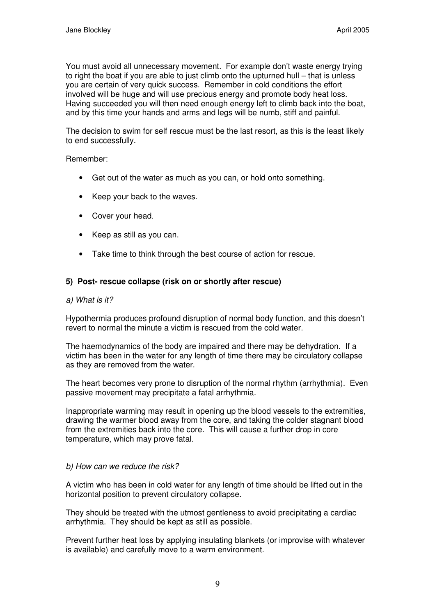You must avoid all unnecessary movement. For example don't waste energy trying to right the boat if you are able to just climb onto the upturned hull – that is unless you are certain of very quick success. Remember in cold conditions the effort involved will be huge and will use precious energy and promote body heat loss. Having succeeded you will then need enough energy left to climb back into the boat, and by this time your hands and arms and legs will be numb, stiff and painful.

The decision to swim for self rescue must be the last resort, as this is the least likely to end successfully.

#### Remember:

- Get out of the water as much as you can, or hold onto something.
- Keep your back to the waves.
- Cover your head.
- Keep as still as you can.
- Take time to think through the best course of action for rescue.

### **5) Post- rescue collapse (risk on or shortly after rescue)**

#### *a) What is it?*

Hypothermia produces profound disruption of normal body function, and this doesn't revert to normal the minute a victim is rescued from the cold water.

The haemodynamics of the body are impaired and there may be dehydration. If a victim has been in the water for any length of time there may be circulatory collapse as they are removed from the water.

The heart becomes very prone to disruption of the normal rhythm (arrhythmia). Even passive movement may precipitate a fatal arrhythmia.

Inappropriate warming may result in opening up the blood vessels to the extremities, drawing the warmer blood away from the core, and taking the colder stagnant blood from the extremities back into the core. This will cause a further drop in core temperature, which may prove fatal.

#### *b) How can we reduce the risk?*

A victim who has been in cold water for any length of time should be lifted out in the horizontal position to prevent circulatory collapse.

They should be treated with the utmost gentleness to avoid precipitating a cardiac arrhythmia. They should be kept as still as possible.

Prevent further heat loss by applying insulating blankets (or improvise with whatever is available) and carefully move to a warm environment.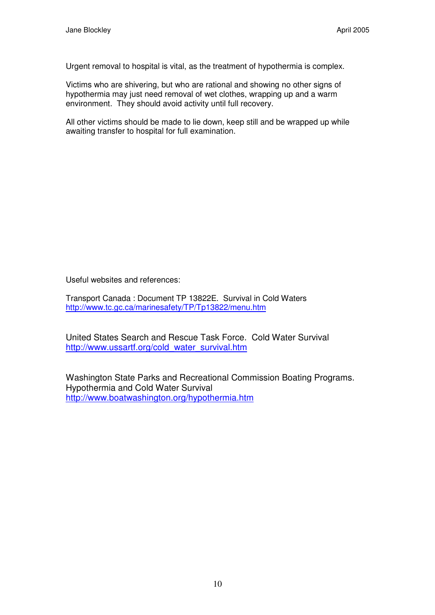Urgent removal to hospital is vital, as the treatment of hypothermia is complex.

Victims who are shivering, but who are rational and showing no other signs of hypothermia may just need removal of wet clothes, wrapping up and a warm environment. They should avoid activity until full recovery.

All other victims should be made to lie down, keep still and be wrapped up while awaiting transfer to hospital for full examination.

Useful websites and references:

Transport Canada : Document TP 13822E. Survival in Cold Waters http://www.tc.gc.ca/marinesafety/TP/Tp13822/menu.htm

United States Search and Rescue Task Force. Cold Water Survival http://www.ussartf.org/cold\_water\_survival.htm

Washington State Parks and Recreational Commission Boating Programs. Hypothermia and Cold Water Survival http://www.boatwashington.org/hypothermia.htm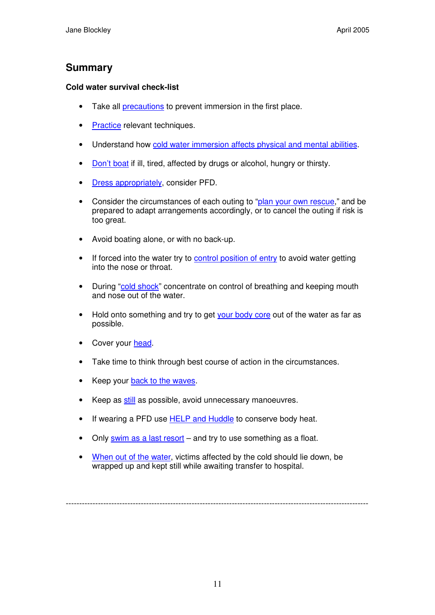# **Summary**

## **Cold water survival check-list**

- Take all **precautions** to prevent immersion in the first place.
- Practice relevant techniques.
- Understand how cold water immersion affects physical and mental abilities.
- Don't boat if ill, tired, affected by drugs or alcohol, hungry or thirsty.
- Dress appropriately, consider PFD.
- Consider the circumstances of each outing to "plan your own rescue," and be prepared to adapt arrangements accordingly, or to cancel the outing if risk is too great.
- Avoid boating alone, or with no back-up.
- If forced into the water try to control position of entry to avoid water getting into the nose or throat.
- During "cold shock" concentrate on control of breathing and keeping mouth and nose out of the water.
- Hold onto something and try to get your body core out of the water as far as possible.
- Cover your head.
- Take time to think through best course of action in the circumstances.
- Keep your back to the waves.
- Keep as still as possible, avoid unnecessary manoeuvres.
- If wearing a PFD use **HELP** and Huddle to conserve body heat.
- Only swim as a last resort and try to use something as a float.
- When out of the water, victims affected by the cold should lie down, be wrapped up and kept still while awaiting transfer to hospital.

-----------------------------------------------------------------------------------------------------------------